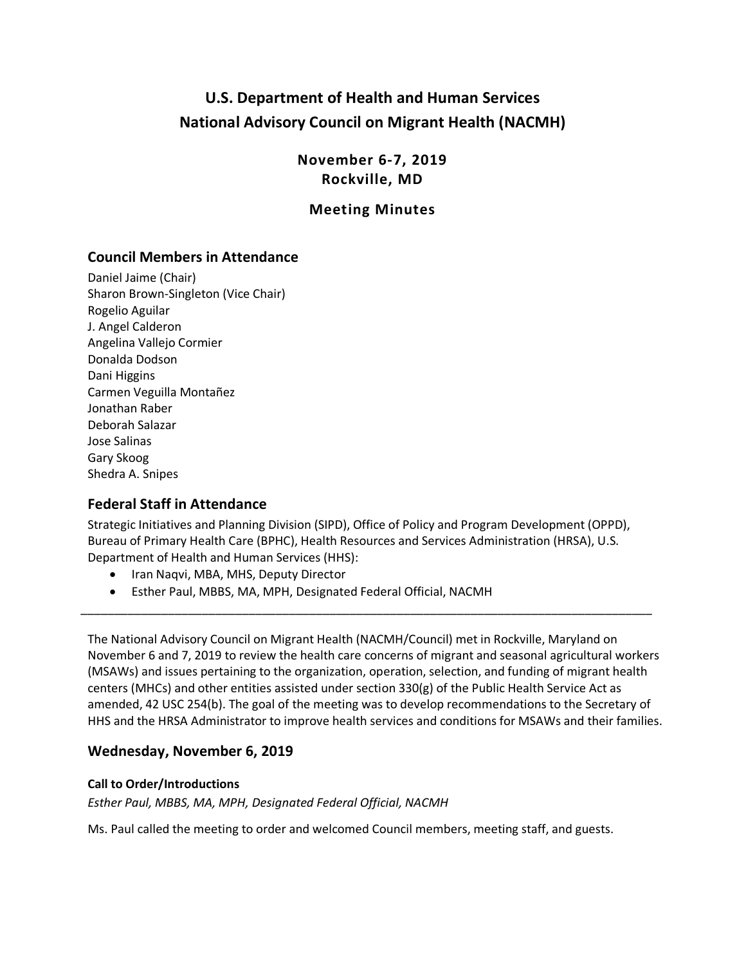# **U.S. Department of Health and Human Services National Advisory Council on Migrant Health (NACMH)**

**November 6-7, 2019 Rockville, MD**

# **Meeting Minutes**

# **Council Members in Attendance**

Daniel Jaime (Chair) Sharon Brown-Singleton (Vice Chair) Rogelio Aguilar J. Angel Calderon Angelina Vallejo Cormier Donalda Dodson Dani Higgins Carmen Veguilla Montañez Jonathan Raber Deborah Salazar Jose Salinas Gary Skoog Shedra A. Snipes

# **Federal Staff in Attendance**

Strategic Initiatives and Planning Division (SIPD), Office of Policy and Program Development (OPPD), Bureau of Primary Health Care (BPHC), Health Resources and Services Administration (HRSA), U.S. Department of Health and Human Services (HHS):

- Iran Naqvi, MBA, MHS, Deputy Director
- Esther Paul, MBBS, MA, MPH, Designated Federal Official, NACMH

The National Advisory Council on Migrant Health (NACMH/Council) met in Rockville, Maryland on November 6 and 7, 2019 to review the health care concerns of migrant and seasonal agricultural workers (MSAWs) and issues pertaining to the organization, operation, selection, and funding of migrant health centers (MHCs) and other entities assisted under section 330(g) of the Public Health Service Act as amended, 42 USC 254(b). The goal of the meeting was to develop recommendations to the Secretary of HHS and the HRSA Administrator to improve health services and conditions for MSAWs and their families.

\_\_\_\_\_\_\_\_\_\_\_\_\_\_\_\_\_\_\_\_\_\_\_\_\_\_\_\_\_\_\_\_\_\_\_\_\_\_\_\_\_\_\_\_\_\_\_\_\_\_\_\_\_\_\_\_\_\_\_\_\_\_\_\_\_\_\_\_\_\_\_\_\_\_\_\_\_\_\_\_\_\_\_\_\_

# **Wednesday, November 6, 2019**

## **Call to Order/Introductions**

*Esther Paul, MBBS, MA, MPH, Designated Federal Official, NACMH*

Ms. Paul called the meeting to order and welcomed Council members, meeting staff, and guests.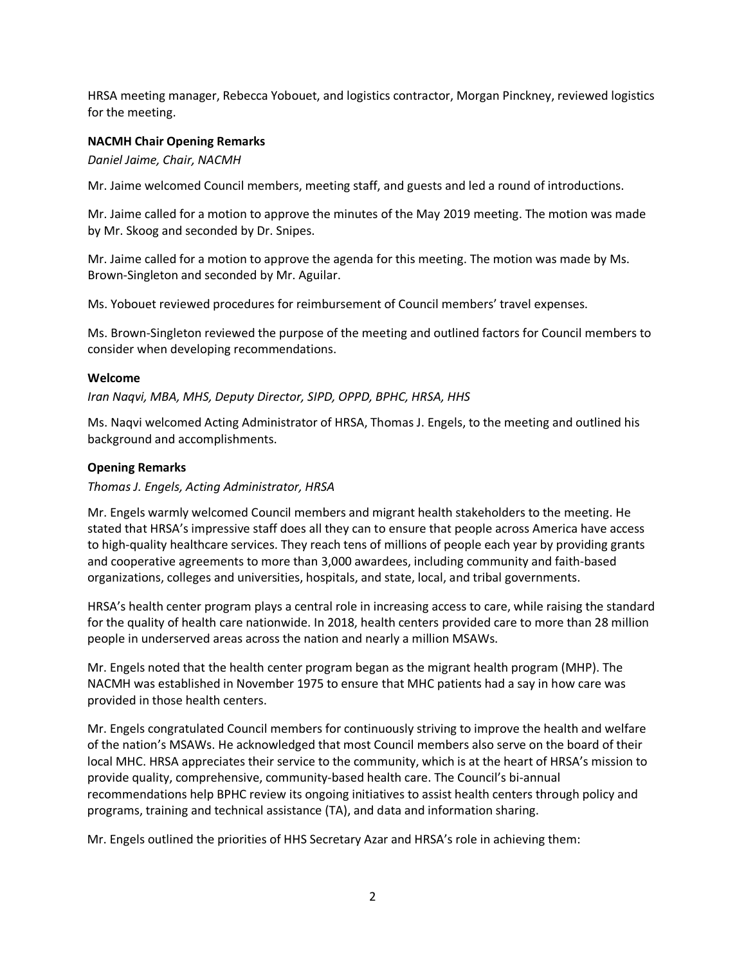HRSA meeting manager, Rebecca Yobouet, and logistics contractor, Morgan Pinckney, reviewed logistics for the meeting.

#### **NACMH Chair Opening Remarks**

*Daniel Jaime, Chair, NACMH*

Mr. Jaime welcomed Council members, meeting staff, and guests and led a round of introductions.

Mr. Jaime called for a motion to approve the minutes of the May 2019 meeting. The motion was made by Mr. Skoog and seconded by Dr. Snipes.

Mr. Jaime called for a motion to approve the agenda for this meeting. The motion was made by Ms. Brown-Singleton and seconded by Mr. Aguilar.

Ms. Yobouet reviewed procedures for reimbursement of Council members' travel expenses.

Ms. Brown-Singleton reviewed the purpose of the meeting and outlined factors for Council members to consider when developing recommendations.

#### **Welcome**

*Iran Naqvi, MBA, MHS, Deputy Director, SIPD, OPPD, BPHC, HRSA, HHS*

Ms. Naqvi welcomed Acting Administrator of HRSA, Thomas J. Engels, to the meeting and outlined his background and accomplishments.

## **Opening Remarks**

*Thomas J. Engels, Acting Administrator, HRSA*

Mr. Engels warmly welcomed Council members and migrant health stakeholders to the meeting. He stated that HRSA's impressive staff does all they can to ensure that people across America have access to high-quality healthcare services. They reach tens of millions of people each year by providing grants and cooperative agreements to more than 3,000 awardees, including community and faith-based organizations, colleges and universities, hospitals, and state, local, and tribal governments.

HRSA's health center program plays a central role in increasing access to care, while raising the standard for the quality of health care nationwide. In 2018, health centers provided care to more than 28 million people in underserved areas across the nation and nearly a million MSAWs.

Mr. Engels noted that the health center program began as the migrant health program (MHP). The NACMH was established in November 1975 to ensure that MHC patients had a say in how care was provided in those health centers.

Mr. Engels congratulated Council members for continuously striving to improve the health and welfare of the nation's MSAWs. He acknowledged that most Council members also serve on the board of their local MHC. HRSA appreciates their service to the community, which is at the heart of HRSA's mission to provide quality, comprehensive, community-based health care. The Council's bi-annual recommendations help BPHC review its ongoing initiatives to assist health centers through policy and programs, training and technical assistance (TA), and data and information sharing.

Mr. Engels outlined the priorities of HHS Secretary Azar and HRSA's role in achieving them: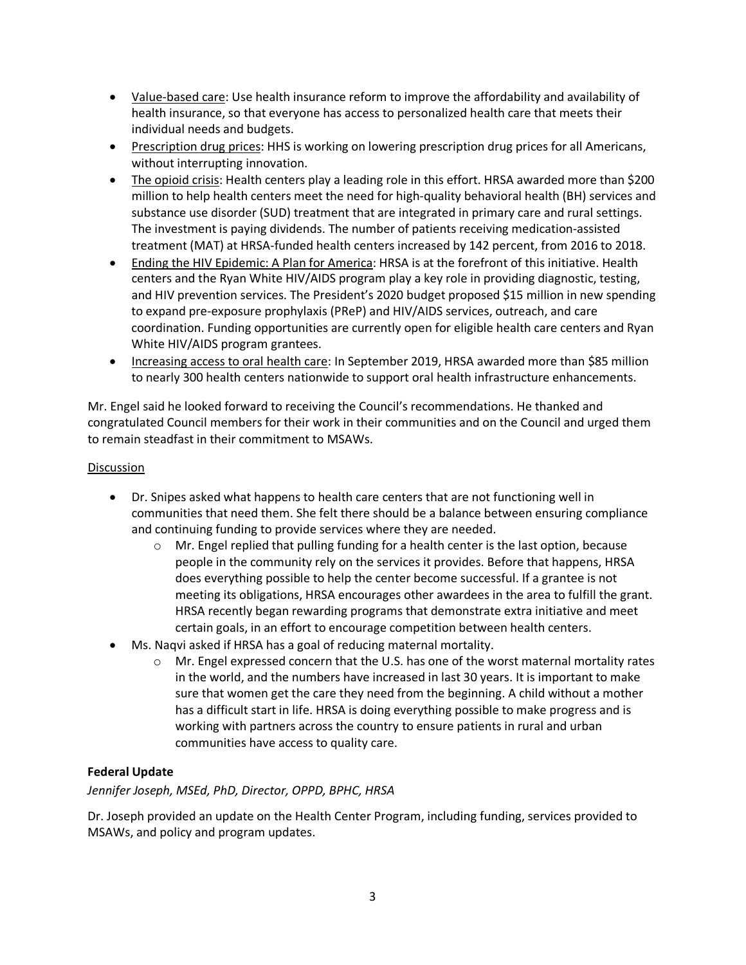- Value-based care: Use health insurance reform to improve the affordability and availability of health insurance, so that everyone has access to personalized health care that meets their individual needs and budgets.
- Prescription drug prices: HHS is working on lowering prescription drug prices for all Americans, without interrupting innovation.
- The opioid crisis: Health centers play a leading role in this effort. HRSA awarded more than \$200 million to help health centers meet the need for high-quality behavioral health (BH) services and substance use disorder (SUD) treatment that are integrated in primary care and rural settings. The investment is paying dividends. The number of patients receiving medication-assisted treatment (MAT) at HRSA-funded health centers increased by 142 percent, from 2016 to 2018.
- Ending the HIV Epidemic: A Plan for America: HRSA is at the forefront of this initiative. Health centers and the Ryan White HIV/AIDS program play a key role in providing diagnostic, testing, and HIV prevention services. The President's 2020 budget proposed \$15 million in new spending to expand pre-exposure prophylaxis (PReP) and HIV/AIDS services, outreach, and care coordination. Funding opportunities are currently open for eligible health care centers and Ryan White HIV/AIDS program grantees.
- Increasing access to oral health care: In September 2019, HRSA awarded more than \$85 million to nearly 300 health centers nationwide to support oral health infrastructure enhancements.

Mr. Engel said he looked forward to receiving the Council's recommendations. He thanked and congratulated Council members for their work in their communities and on the Council and urged them to remain steadfast in their commitment to MSAWs.

## **Discussion**

- Dr. Snipes asked what happens to health care centers that are not functioning well in communities that need them. She felt there should be a balance between ensuring compliance and continuing funding to provide services where they are needed.
	- Mr. Engel replied that pulling funding for a health center is the last option, because people in the community rely on the services it provides. Before that happens, HRSA does everything possible to help the center become successful. If a grantee is not meeting its obligations, HRSA encourages other awardees in the area to fulfill the grant. HRSA recently began rewarding programs that demonstrate extra initiative and meet certain goals, in an effort to encourage competition between health centers.
- Ms. Naqvi asked if HRSA has a goal of reducing maternal mortality.
	- Mr. Engel expressed concern that the U.S. has one of the worst maternal mortality rates in the world, and the numbers have increased in last 30 years. It is important to make sure that women get the care they need from the beginning. A child without a mother has a difficult start in life. HRSA is doing everything possible to make progress and is working with partners across the country to ensure patients in rural and urban communities have access to quality care.

## **Federal Update**

*Jennifer Joseph, MSEd, PhD, Director, OPPD, BPHC, HRSA*

Dr. Joseph provided an update on the Health Center Program, including funding, services provided to MSAWs, and policy and program updates.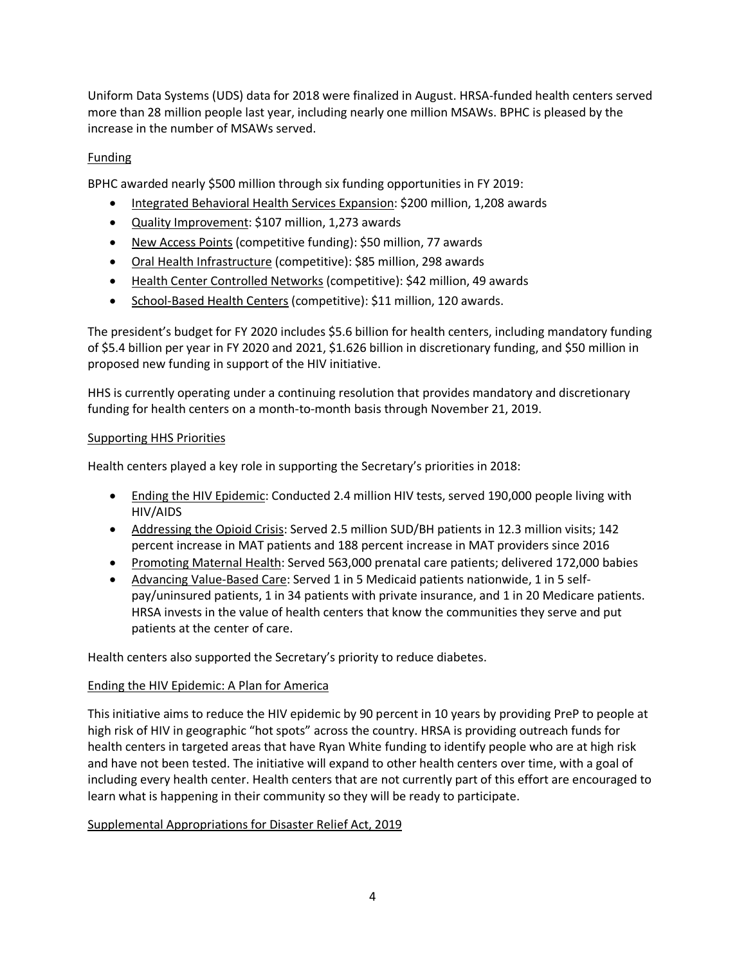Uniform Data Systems (UDS) data for 2018 were finalized in August. HRSA-funded health centers served more than 28 million people last year, including nearly one million MSAWs. BPHC is pleased by the increase in the number of MSAWs served.

## Funding

BPHC awarded nearly \$500 million through six funding opportunities in FY 2019:

- Integrated Behavioral Health Services Expansion: \$200 million, 1,208 awards
- Quality Improvement: \$107 million, 1,273 awards
- New Access Points (competitive funding): \$50 million, 77 awards
- Oral Health Infrastructure (competitive): \$85 million, 298 awards
- Health Center Controlled Networks (competitive): \$42 million, 49 awards
- School-Based Health Centers (competitive): \$11 million, 120 awards.

The president's budget for FY 2020 includes \$5.6 billion for health centers, including mandatory funding of \$5.4 billion per year in FY 2020 and 2021, \$1.626 billion in discretionary funding, and \$50 million in proposed new funding in support of the HIV initiative.

HHS is currently operating under a continuing resolution that provides mandatory and discretionary funding for health centers on a month-to-month basis through November 21, 2019.

## Supporting HHS Priorities

Health centers played a key role in supporting the Secretary's priorities in 2018:

- Ending the HIV Epidemic: Conducted 2.4 million HIV tests, served 190,000 people living with HIV/AIDS
- Addressing the Opioid Crisis: Served 2.5 million SUD/BH patients in 12.3 million visits; 142 percent increase in MAT patients and 188 percent increase in MAT providers since 2016
- Promoting Maternal Health: Served 563,000 prenatal care patients; delivered 172,000 babies
- Advancing Value-Based Care: Served 1 in 5 Medicaid patients nationwide, 1 in 5 selfpay/uninsured patients, 1 in 34 patients with private insurance, and 1 in 20 Medicare patients. HRSA invests in the value of health centers that know the communities they serve and put patients at the center of care.

Health centers also supported the Secretary's priority to reduce diabetes.

## Ending the HIV Epidemic: A Plan for America

This initiative aims to reduce the HIV epidemic by 90 percent in 10 years by providing PreP to people at high risk of HIV in geographic "hot spots" across the country. HRSA is providing outreach funds for health centers in targeted areas that have Ryan White funding to identify people who are at high risk and have not been tested. The initiative will expand to other health centers over time, with a goal of including every health center. Health centers that are not currently part of this effort are encouraged to learn what is happening in their community so they will be ready to participate.

## Supplemental Appropriations for Disaster Relief Act, 2019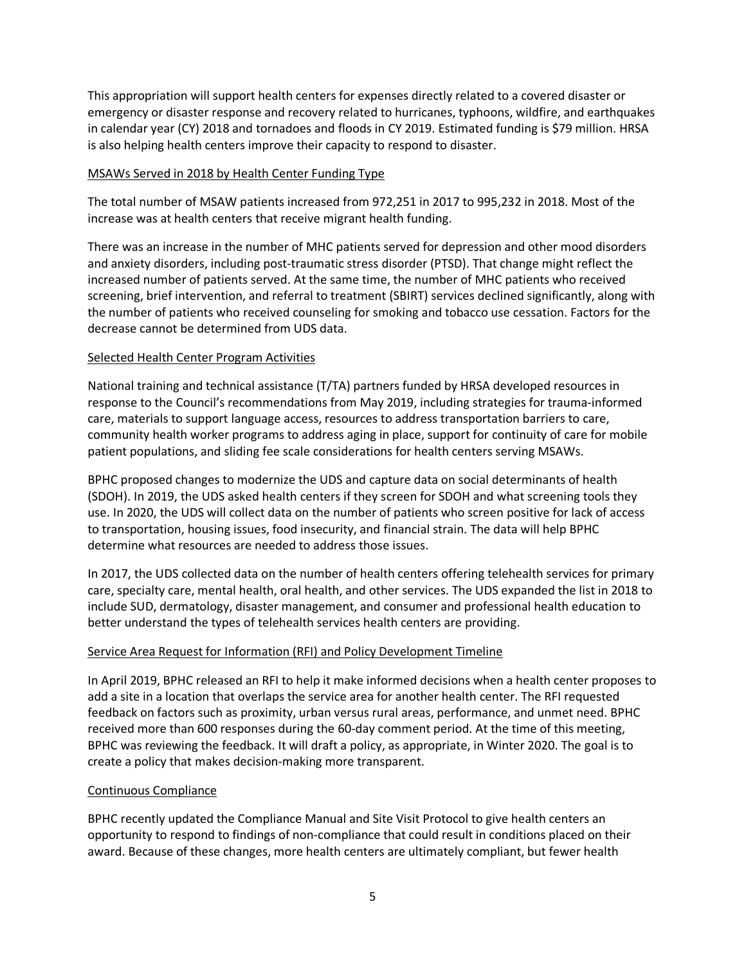This appropriation will support health centers for expenses directly related to a covered disaster or emergency or disaster response and recovery related to hurricanes, typhoons, wildfire, and earthquakes in calendar year (CY) 2018 and tornadoes and floods in CY 2019. Estimated funding is \$79 million. HRSA is also helping health centers improve their capacity to respond to disaster.

#### MSAWs Served in 2018 by Health Center Funding Type

The total number of MSAW patients increased from 972,251 in 2017 to 995,232 in 2018. Most of the increase was at health centers that receive migrant health funding.

There was an increase in the number of MHC patients served for depression and other mood disorders and anxiety disorders, including post-traumatic stress disorder (PTSD). That change might reflect the increased number of patients served. At the same time, the number of MHC patients who received screening, brief intervention, and referral to treatment (SBIRT) services declined significantly, along with the number of patients who received counseling for smoking and tobacco use cessation. Factors for the decrease cannot be determined from UDS data.

## Selected Health Center Program Activities

National training and technical assistance (T/TA) partners funded by HRSA developed resources in response to the Council's recommendations from May 2019, including strategies for trauma-informed care, materials to support language access, resources to address transportation barriers to care, community health worker programs to address aging in place, support for continuity of care for mobile patient populations, and sliding fee scale considerations for health centers serving MSAWs.

BPHC proposed changes to modernize the UDS and capture data on social determinants of health (SDOH). In 2019, the UDS asked health centers if they screen for SDOH and what screening tools they use. In 2020, the UDS will collect data on the number of patients who screen positive for lack of access to transportation, housing issues, food insecurity, and financial strain. The data will help BPHC determine what resources are needed to address those issues.

In 2017, the UDS collected data on the number of health centers offering telehealth services for primary care, specialty care, mental health, oral health, and other services. The UDS expanded the list in 2018 to include SUD, dermatology, disaster management, and consumer and professional health education to better understand the types of telehealth services health centers are providing.

#### Service Area Request for Information (RFI) and Policy Development Timeline

In April 2019, BPHC released an RFI to help it make informed decisions when a health center proposes to add a site in a location that overlaps the service area for another health center. The RFI requested feedback on factors such as proximity, urban versus rural areas, performance, and unmet need. BPHC received more than 600 responses during the 60-day comment period. At the time of this meeting, BPHC was reviewing the feedback. It will draft a policy, as appropriate, in Winter 2020. The goal is to create a policy that makes decision-making more transparent.

#### Continuous Compliance

BPHC recently updated the Compliance Manual and Site Visit Protocol to give health centers an opportunity to respond to findings of non-compliance that could result in conditions placed on their award. Because of these changes, more health centers are ultimately compliant, but fewer health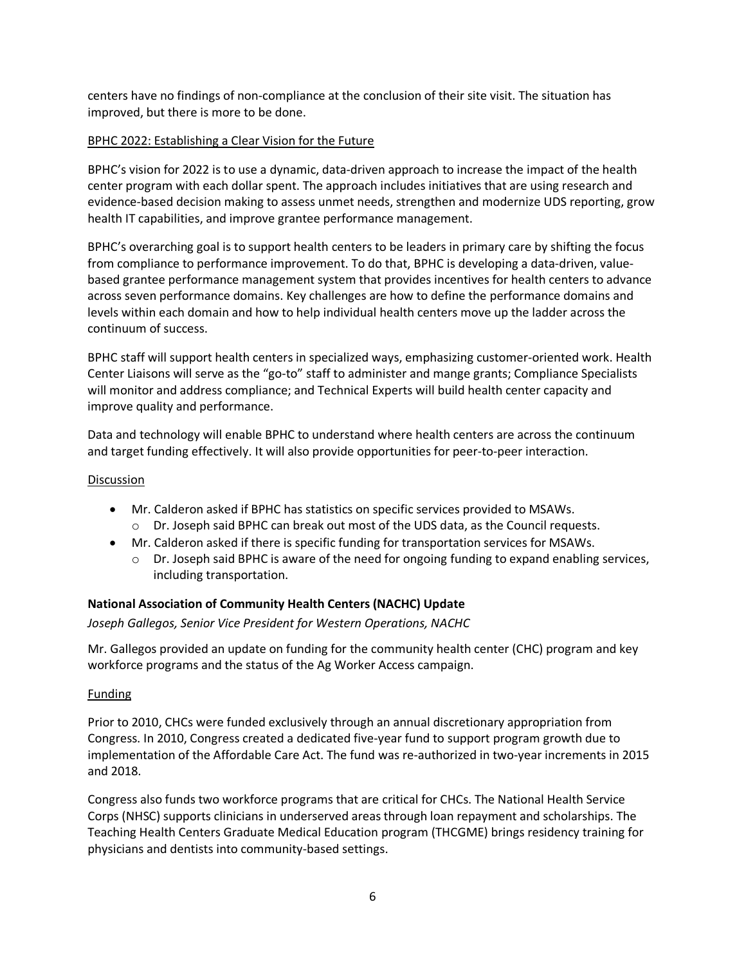centers have no findings of non-compliance at the conclusion of their site visit. The situation has improved, but there is more to be done.

## BPHC 2022: Establishing a Clear Vision for the Future

BPHC's vision for 2022 is to use a dynamic, data-driven approach to increase the impact of the health center program with each dollar spent. The approach includes initiatives that are using research and evidence-based decision making to assess unmet needs, strengthen and modernize UDS reporting, grow health IT capabilities, and improve grantee performance management.

BPHC's overarching goal is to support health centers to be leaders in primary care by shifting the focus from compliance to performance improvement. To do that, BPHC is developing a data-driven, valuebased grantee performance management system that provides incentives for health centers to advance across seven performance domains. Key challenges are how to define the performance domains and levels within each domain and how to help individual health centers move up the ladder across the continuum of success.

BPHC staff will support health centers in specialized ways, emphasizing customer-oriented work. Health Center Liaisons will serve as the "go-to" staff to administer and mange grants; Compliance Specialists will monitor and address compliance; and Technical Experts will build health center capacity and improve quality and performance.

Data and technology will enable BPHC to understand where health centers are across the continuum and target funding effectively. It will also provide opportunities for peer-to-peer interaction.

#### Discussion

- Mr. Calderon asked if BPHC has statistics on specific services provided to MSAWs.
	- Dr. Joseph said BPHC can break out most of the UDS data, as the Council requests.
- Mr. Calderon asked if there is specific funding for transportation services for MSAWs.
	- Dr. Joseph said BPHC is aware of the need for ongoing funding to expand enabling services, including transportation.

## **National Association of Community Health Centers (NACHC) Update**

*Joseph Gallegos, Senior Vice President for Western Operations, NACHC*

Mr. Gallegos provided an update on funding for the community health center (CHC) program and key workforce programs and the status of the Ag Worker Access campaign.

#### Funding

Prior to 2010, CHCs were funded exclusively through an annual discretionary appropriation from Congress. In 2010, Congress created a dedicated five-year fund to support program growth due to implementation of the Affordable Care Act. The fund was re-authorized in two-year increments in 2015 and 2018.

Congress also funds two workforce programs that are critical for CHCs. The National Health Service Corps (NHSC) supports clinicians in underserved areas through loan repayment and scholarships. The Teaching Health Centers Graduate Medical Education program (THCGME) brings residency training for physicians and dentists into community-based settings.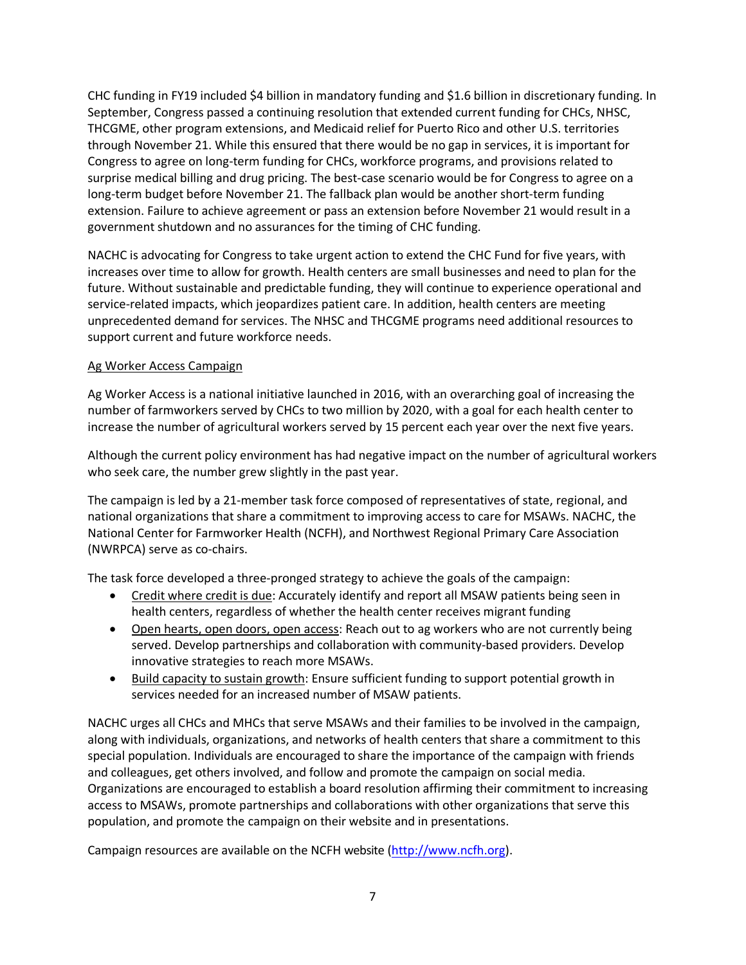CHC funding in FY19 included \$4 billion in mandatory funding and \$1.6 billion in discretionary funding. In September, Congress passed a continuing resolution that extended current funding for CHCs, NHSC, THCGME, other program extensions, and Medicaid relief for Puerto Rico and other U.S. territories through November 21. While this ensured that there would be no gap in services, it is important for Congress to agree on long-term funding for CHCs, workforce programs, and provisions related to surprise medical billing and drug pricing. The best-case scenario would be for Congress to agree on a long-term budget before November 21. The fallback plan would be another short-term funding extension. Failure to achieve agreement or pass an extension before November 21 would result in a government shutdown and no assurances for the timing of CHC funding.

NACHC is advocating for Congress to take urgent action to extend the CHC Fund for five years, with increases over time to allow for growth. Health centers are small businesses and need to plan for the future. Without sustainable and predictable funding, they will continue to experience operational and service-related impacts, which jeopardizes patient care. In addition, health centers are meeting unprecedented demand for services. The NHSC and THCGME programs need additional resources to support current and future workforce needs.

## Ag Worker Access Campaign

Ag Worker Access is a national initiative launched in 2016, with an overarching goal of increasing the number of farmworkers served by CHCs to two million by 2020, with a goal for each health center to increase the number of agricultural workers served by 15 percent each year over the next five years.

Although the current policy environment has had negative impact on the number of agricultural workers who seek care, the number grew slightly in the past year.

The campaign is led by a 21-member task force composed of representatives of state, regional, and national organizations that share a commitment to improving access to care for MSAWs. NACHC, the National Center for Farmworker Health (NCFH), and Northwest Regional Primary Care Association (NWRPCA) serve as co-chairs.

The task force developed a three-pronged strategy to achieve the goals of the campaign:

- Credit where credit is due: Accurately identify and report all MSAW patients being seen in health centers, regardless of whether the health center receives migrant funding
- Open hearts, open doors, open access: Reach out to ag workers who are not currently being served. Develop partnerships and collaboration with community-based providers. Develop innovative strategies to reach more MSAWs.
- Build capacity to sustain growth: Ensure sufficient funding to support potential growth in services needed for an increased number of MSAW patients.

NACHC urges all CHCs and MHCs that serve MSAWs and their families to be involved in the campaign, along with individuals, organizations, and networks of health centers that share a commitment to this special population. Individuals are encouraged to share the importance of the campaign with friends and colleagues, get others involved, and follow and promote the campaign on social media. Organizations are encouraged to establish a board resolution affirming their commitment to increasing access to MSAWs, promote partnerships and collaborations with other organizations that serve this population, and promote the campaign on their website and in presentations.

Campaign resources are available on the NCFH website [\(http://www.ncfh.org\)](http://www.ncfh.org).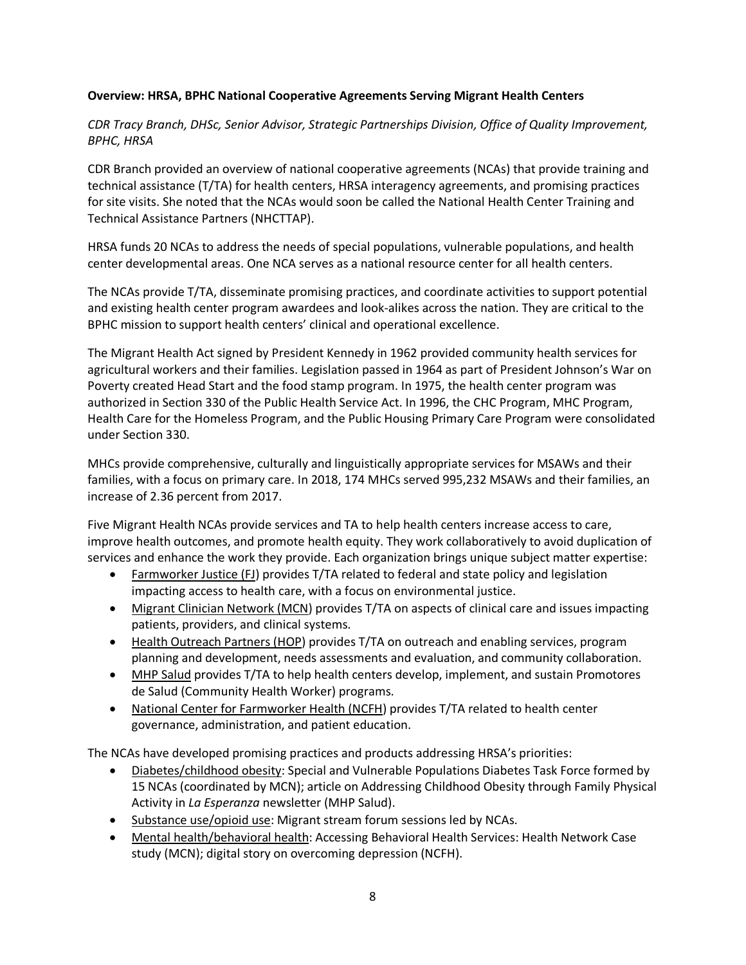## **Overview: HRSA, BPHC National Cooperative Agreements Serving Migrant Health Centers**

*CDR Tracy Branch, DHSc, Senior Advisor, Strategic Partnerships Division, Office of Quality Improvement, BPHC, HRSA*

CDR Branch provided an overview of national cooperative agreements (NCAs) that provide training and technical assistance (T/TA) for health centers, HRSA interagency agreements, and promising practices for site visits. She noted that the NCAs would soon be called the National Health Center Training and Technical Assistance Partners (NHCTTAP).

HRSA funds 20 NCAs to address the needs of special populations, vulnerable populations, and health center developmental areas. One NCA serves as a national resource center for all health centers.

The NCAs provide T/TA, disseminate promising practices, and coordinate activities to support potential and existing health center program awardees and look-alikes across the nation. They are critical to the BPHC mission to support health centers' clinical and operational excellence.

The Migrant Health Act signed by President Kennedy in 1962 provided community health services for agricultural workers and their families. Legislation passed in 1964 as part of President Johnson's War on Poverty created Head Start and the food stamp program. In 1975, the health center program was authorized in Section 330 of the Public Health Service Act. In 1996, the CHC Program, MHC Program, Health Care for the Homeless Program, and the Public Housing Primary Care Program were consolidated under Section 330.

MHCs provide comprehensive, culturally and linguistically appropriate services for MSAWs and their families, with a focus on primary care. In 2018, 174 MHCs served 995,232 MSAWs and their families, an increase of 2.36 percent from 2017.

Five Migrant Health NCAs provide services and TA to help health centers increase access to care, improve health outcomes, and promote health equity. They work collaboratively to avoid duplication of services and enhance the work they provide. Each organization brings unique subject matter expertise:

- Farmworker Justice (FJ) provides T/TA related to federal and state policy and legislation impacting access to health care, with a focus on environmental justice.
- Migrant Clinician Network (MCN) provides T/TA on aspects of clinical care and issues impacting patients, providers, and clinical systems.
- Health Outreach Partners (HOP) provides T/TA on outreach and enabling services, program planning and development, needs assessments and evaluation, and community collaboration.
- MHP Salud provides T/TA to help health centers develop, implement, and sustain Promotores de Salud (Community Health Worker) programs.
- National Center for Farmworker Health (NCFH) provides T/TA related to health center governance, administration, and patient education.

The NCAs have developed promising practices and products addressing HRSA's priorities:

- Diabetes/childhood obesity: Special and Vulnerable Populations Diabetes Task Force formed by 15 NCAs (coordinated by MCN); article on Addressing Childhood Obesity through Family Physical Activity in *La Esperanza* newsletter (MHP Salud).
- Substance use/opioid use: Migrant stream forum sessions led by NCAs.
- Mental health/behavioral health: Accessing Behavioral Health Services: Health Network Case study (MCN); digital story on overcoming depression (NCFH).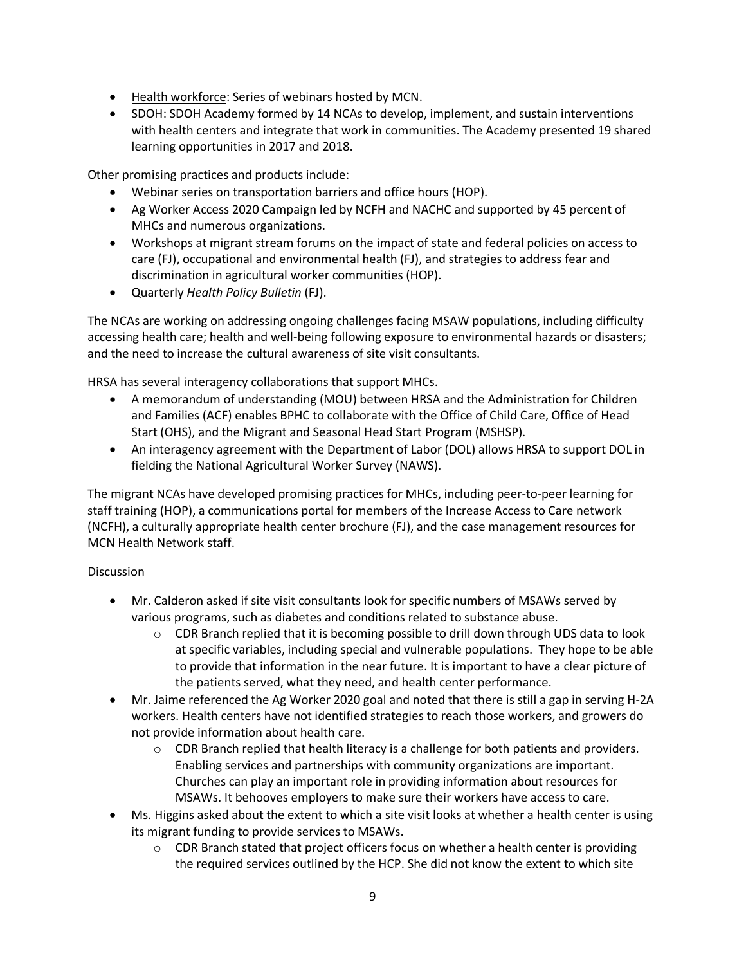- Health workforce: Series of webinars hosted by MCN.
- SDOH: SDOH Academy formed by 14 NCAs to develop, implement, and sustain interventions with health centers and integrate that work in communities. The Academy presented 19 shared learning opportunities in 2017 and 2018.

Other promising practices and products include:

- Webinar series on transportation barriers and office hours (HOP).
- Ag Worker Access 2020 Campaign led by NCFH and NACHC and supported by 45 percent of MHCs and numerous organizations.
- Workshops at migrant stream forums on the impact of state and federal policies on access to care (FJ), occupational and environmental health (FJ), and strategies to address fear and discrimination in agricultural worker communities (HOP).
- Quarterly *Health Policy Bulletin* (FJ).

The NCAs are working on addressing ongoing challenges facing MSAW populations, including difficulty accessing health care; health and well-being following exposure to environmental hazards or disasters; and the need to increase the cultural awareness of site visit consultants.

HRSA has several interagency collaborations that support MHCs.

- A memorandum of understanding (MOU) between HRSA and the Administration for Children and Families (ACF) enables BPHC to collaborate with the Office of Child Care, Office of Head Start (OHS), and the Migrant and Seasonal Head Start Program (MSHSP).
- An interagency agreement with the Department of Labor (DOL) allows HRSA to support DOL in fielding the National Agricultural Worker Survey (NAWS).

The migrant NCAs have developed promising practices for MHCs, including peer-to-peer learning for staff training (HOP), a communications portal for members of the Increase Access to Care network (NCFH), a culturally appropriate health center brochure (FJ), and the case management resources for MCN Health Network staff.

- Mr. Calderon asked if site visit consultants look for specific numbers of MSAWs served by various programs, such as diabetes and conditions related to substance abuse.
	- $\circ$  CDR Branch replied that it is becoming possible to drill down through UDS data to look at specific variables, including special and vulnerable populations. They hope to be able to provide that information in the near future. It is important to have a clear picture of the patients served, what they need, and health center performance.
- Mr. Jaime referenced the Ag Worker 2020 goal and noted that there is still a gap in serving H-2A workers. Health centers have not identified strategies to reach those workers, and growers do not provide information about health care.
	- $\circ$  CDR Branch replied that health literacy is a challenge for both patients and providers. Enabling services and partnerships with community organizations are important. Churches can play an important role in providing information about resources for MSAWs. It behooves employers to make sure their workers have access to care.
- Ms. Higgins asked about the extent to which a site visit looks at whether a health center is using its migrant funding to provide services to MSAWs.
	- CDR Branch stated that project officers focus on whether a health center is providing the required services outlined by the HCP. She did not know the extent to which site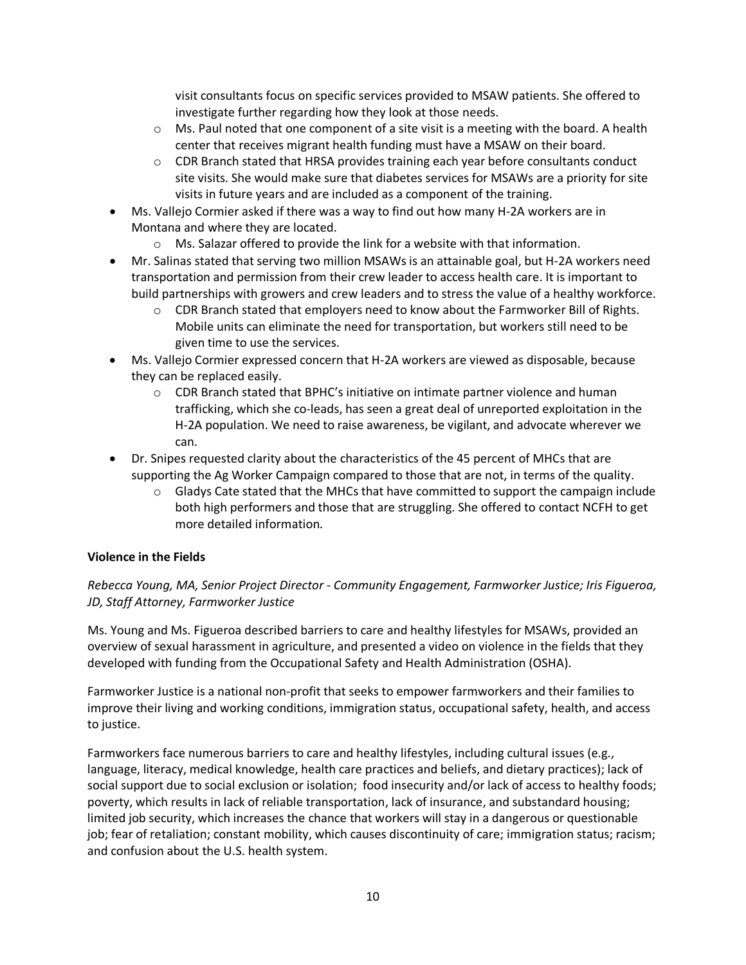visit consultants focus on specific services provided to MSAW patients. She offered to investigate further regarding how they look at those needs.

- $\circ$  Ms. Paul noted that one component of a site visit is a meeting with the board. A health center that receives migrant health funding must have a MSAW on their board.
- CDR Branch stated that HRSA provides training each year before consultants conduct site visits. She would make sure that diabetes services for MSAWs are a priority for site visits in future years and are included as a component of the training.
- Ms. Vallejo Cormier asked if there was a way to find out how many H-2A workers are in Montana and where they are located.
	- Ms. Salazar offered to provide the link for a website with that information.
- Mr. Salinas stated that serving two million MSAWs is an attainable goal, but H-2A workers need transportation and permission from their crew leader to access health care. It is important to build partnerships with growers and crew leaders and to stress the value of a healthy workforce.
	- $\circ$  CDR Branch stated that employers need to know about the Farmworker Bill of Rights. Mobile units can eliminate the need for transportation, but workers still need to be given time to use the services.
- Ms. Vallejo Cormier expressed concern that H-2A workers are viewed as disposable, because they can be replaced easily.
	- CDR Branch stated that BPHC's initiative on intimate partner violence and human trafficking, which she co-leads, has seen a great deal of unreported exploitation in the H-2A population. We need to raise awareness, be vigilant, and advocate wherever we can.
- Dr. Snipes requested clarity about the characteristics of the 45 percent of MHCs that are supporting the Ag Worker Campaign compared to those that are not, in terms of the quality.
	- $\circ$  Gladys Cate stated that the MHCs that have committed to support the campaign include both high performers and those that are struggling. She offered to contact NCFH to get more detailed information.

## **Violence in the Fields**

## *Rebecca Young, MA, Senior Project Director - Community Engagement, Farmworker Justice; Iris Figueroa, JD, Staff Attorney, Farmworker Justice*

Ms. Young and Ms. Figueroa described barriers to care and healthy lifestyles for MSAWs, provided an overview of sexual harassment in agriculture, and presented a video on violence in the fields that they developed with funding from the Occupational Safety and Health Administration (OSHA).

Farmworker Justice is a national non-profit that seeks to empower farmworkers and their families to improve their living and working conditions, immigration status, occupational safety, health, and access to justice.

Farmworkers face numerous barriers to care and healthy lifestyles, including cultural issues (e.g., language, literacy, medical knowledge, health care practices and beliefs, and dietary practices); lack of social support due to social exclusion or isolation; food insecurity and/or lack of access to healthy foods; poverty, which results in lack of reliable transportation, lack of insurance, and substandard housing; limited job security, which increases the chance that workers will stay in a dangerous or questionable job; fear of retaliation; constant mobility, which causes discontinuity of care; immigration status; racism; and confusion about the U.S. health system.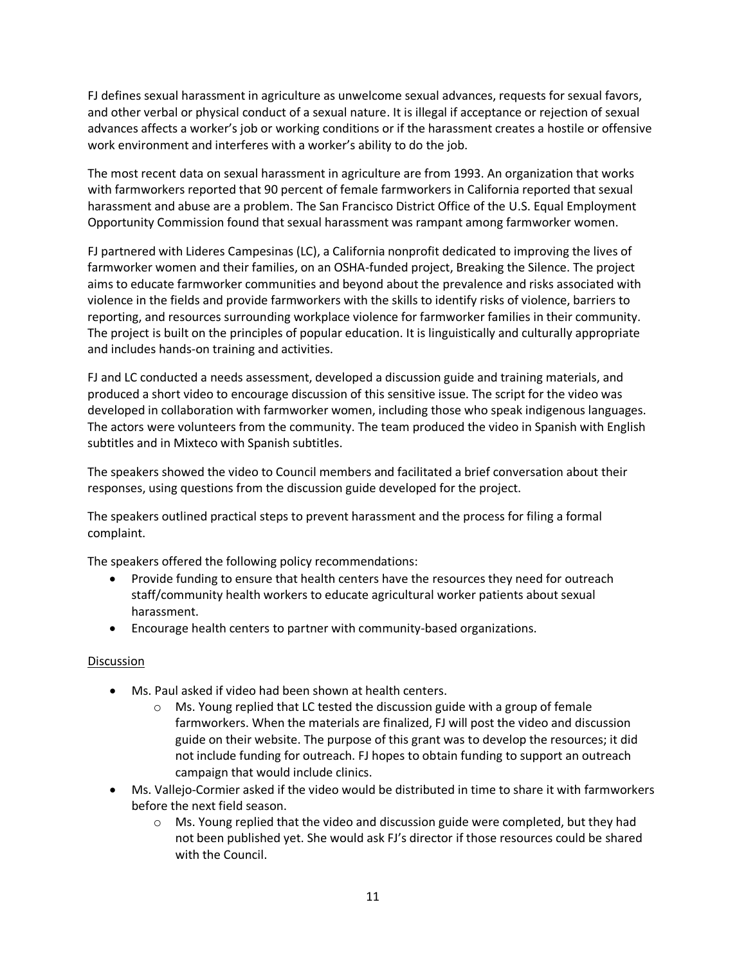FJ defines sexual harassment in agriculture as unwelcome sexual advances, requests for sexual favors, and other verbal or physical conduct of a sexual nature. It is illegal if acceptance or rejection of sexual advances affects a worker's job or working conditions or if the harassment creates a hostile or offensive work environment and interferes with a worker's ability to do the job.

The most recent data on sexual harassment in agriculture are from 1993. An organization that works with farmworkers reported that 90 percent of female farmworkers in California reported that sexual harassment and abuse are a problem. The San Francisco District Office of the U.S. Equal Employment Opportunity Commission found that sexual harassment was rampant among farmworker women.

FJ partnered with Lideres Campesinas (LC), a California nonprofit dedicated to improving the lives of farmworker women and their families, on an OSHA-funded project, Breaking the Silence. The project aims to educate farmworker communities and beyond about the prevalence and risks associated with violence in the fields and provide farmworkers with the skills to identify risks of violence, barriers to reporting, and resources surrounding workplace violence for farmworker families in their community. The project is built on the principles of popular education. It is linguistically and culturally appropriate and includes hands-on training and activities.

FJ and LC conducted a needs assessment, developed a discussion guide and training materials, and produced a short video to encourage discussion of this sensitive issue. The script for the video was developed in collaboration with farmworker women, including those who speak indigenous languages. The actors were volunteers from the community. The team produced the video in Spanish with English subtitles and in Mixteco with Spanish subtitles.

The speakers showed the video to Council members and facilitated a brief conversation about their responses, using questions from the discussion guide developed for the project.

The speakers outlined practical steps to prevent harassment and the process for filing a formal complaint.

The speakers offered the following policy recommendations:

- Provide funding to ensure that health centers have the resources they need for outreach staff/community health workers to educate agricultural worker patients about sexual harassment.
- Encourage health centers to partner with community-based organizations.

- Ms. Paul asked if video had been shown at health centers.
	- $\circ$  Ms. Young replied that LC tested the discussion guide with a group of female farmworkers. When the materials are finalized, FJ will post the video and discussion guide on their website. The purpose of this grant was to develop the resources; it did not include funding for outreach. FJ hopes to obtain funding to support an outreach campaign that would include clinics.
- Ms. Vallejo-Cormier asked if the video would be distributed in time to share it with farmworkers before the next field season.
	- Ms. Young replied that the video and discussion guide were completed, but they had not been published yet. She would ask FJ's director if those resources could be shared with the Council.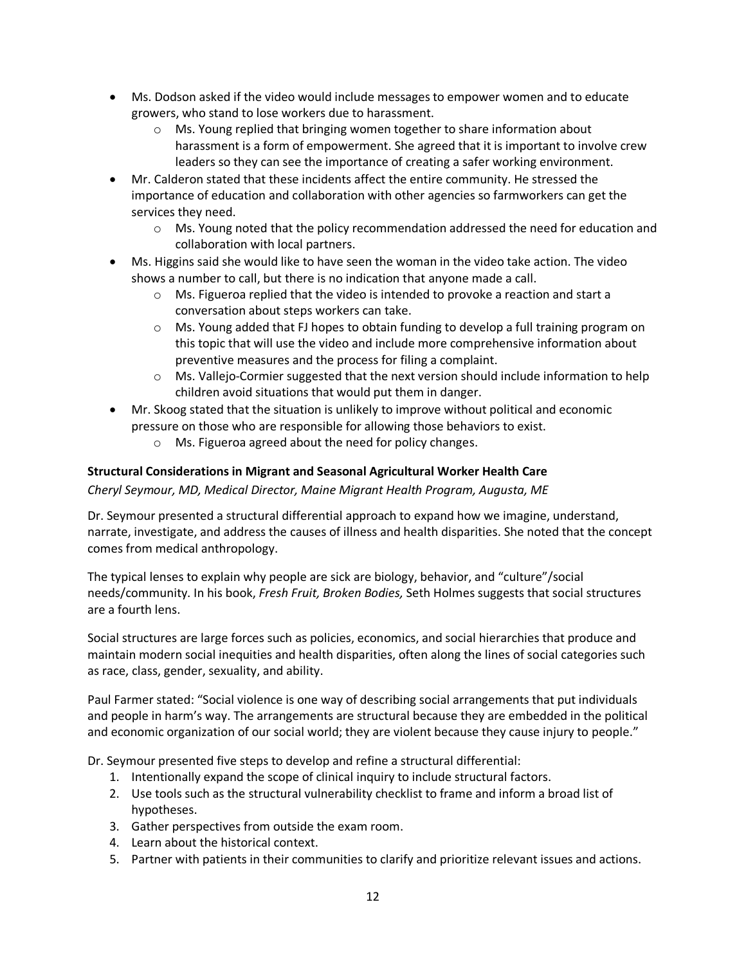- Ms. Dodson asked if the video would include messages to empower women and to educate growers, who stand to lose workers due to harassment.
	- Ms. Young replied that bringing women together to share information about harassment is a form of empowerment. She agreed that it is important to involve crew leaders so they can see the importance of creating a safer working environment.
- Mr. Calderon stated that these incidents affect the entire community. He stressed the importance of education and collaboration with other agencies so farmworkers can get the services they need.
	- Ms. Young noted that the policy recommendation addressed the need for education and collaboration with local partners.
- Ms. Higgins said she would like to have seen the woman in the video take action. The video shows a number to call, but there is no indication that anyone made a call.
	- Ms. Figueroa replied that the video is intended to provoke a reaction and start a conversation about steps workers can take.
	- Ms. Young added that FJ hopes to obtain funding to develop a full training program on this topic that will use the video and include more comprehensive information about preventive measures and the process for filing a complaint.
	- Ms. Vallejo-Cormier suggested that the next version should include information to help children avoid situations that would put them in danger.
- Mr. Skoog stated that the situation is unlikely to improve without political and economic pressure on those who are responsible for allowing those behaviors to exist.
	- Ms. Figueroa agreed about the need for policy changes.

## **Structural Considerations in Migrant and Seasonal Agricultural Worker Health Care**

*Cheryl Seymour, MD, Medical Director, Maine Migrant Health Program, Augusta, ME*

Dr. Seymour presented a structural differential approach to expand how we imagine, understand, narrate, investigate, and address the causes of illness and health disparities. She noted that the concept comes from medical anthropology.

The typical lenses to explain why people are sick are biology, behavior, and "culture"/social needs/community. In his book, *Fresh Fruit, Broken Bodies,* Seth Holmes suggests that social structures are a fourth lens.

Social structures are large forces such as policies, economics, and social hierarchies that produce and maintain modern social inequities and health disparities, often along the lines of social categories such as race, class, gender, sexuality, and ability.

Paul Farmer stated: "Social violence is one way of describing social arrangements that put individuals and people in harm's way. The arrangements are structural because they are embedded in the political and economic organization of our social world; they are violent because they cause injury to people."

Dr. Seymour presented five steps to develop and refine a structural differential:

- 1. Intentionally expand the scope of clinical inquiry to include structural factors.
- 2. Use tools such as the structural vulnerability checklist to frame and inform a broad list of hypotheses.
- 3. Gather perspectives from outside the exam room.
- 4. Learn about the historical context.
- 5. Partner with patients in their communities to clarify and prioritize relevant issues and actions.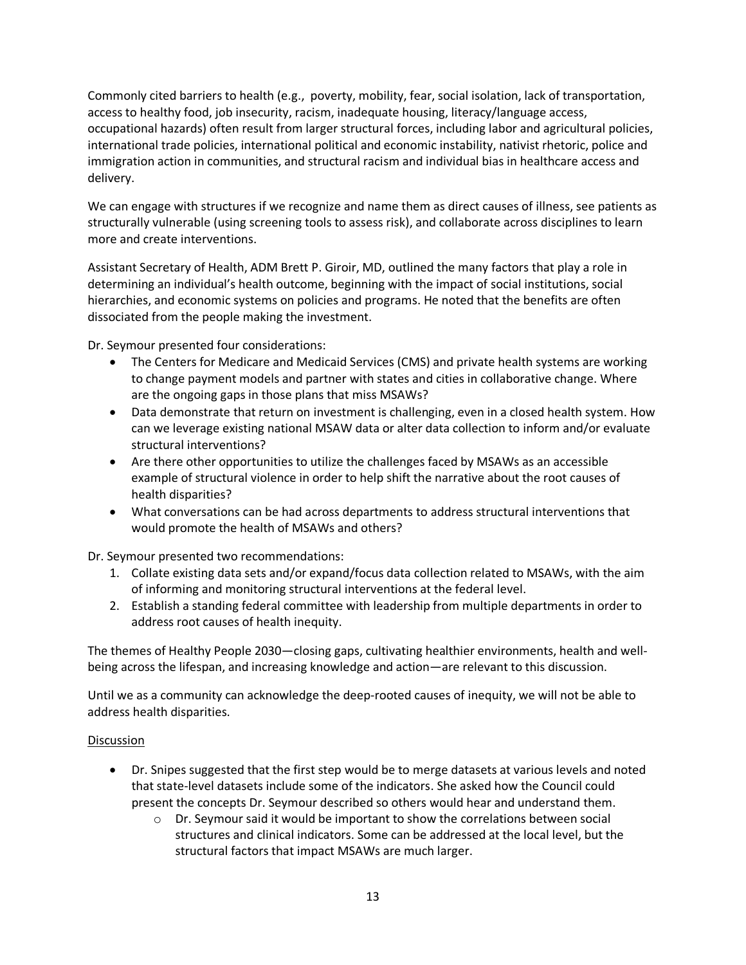Commonly cited barriers to health (e.g., poverty, mobility, fear, social isolation, lack of transportation, access to healthy food, job insecurity, racism, inadequate housing, literacy/language access, occupational hazards) often result from larger structural forces, including labor and agricultural policies, international trade policies, international political and economic instability, nativist rhetoric, police and immigration action in communities, and structural racism and individual bias in healthcare access and delivery.

We can engage with structures if we recognize and name them as direct causes of illness, see patients as structurally vulnerable (using screening tools to assess risk), and collaborate across disciplines to learn more and create interventions.

Assistant Secretary of Health, ADM Brett P. Giroir, MD, outlined the many factors that play a role in determining an individual's health outcome, beginning with the impact of social institutions, social hierarchies, and economic systems on policies and programs. He noted that the benefits are often dissociated from the people making the investment.

Dr. Seymour presented four considerations:

- The Centers for Medicare and Medicaid Services (CMS) and private health systems are working to change payment models and partner with states and cities in collaborative change. Where are the ongoing gaps in those plans that miss MSAWs?
- Data demonstrate that return on investment is challenging, even in a closed health system. How can we leverage existing national MSAW data or alter data collection to inform and/or evaluate structural interventions?
- Are there other opportunities to utilize the challenges faced by MSAWs as an accessible example of structural violence in order to help shift the narrative about the root causes of health disparities?
- What conversations can be had across departments to address structural interventions that would promote the health of MSAWs and others?

Dr. Seymour presented two recommendations:

- 1. Collate existing data sets and/or expand/focus data collection related to MSAWs, with the aim of informing and monitoring structural interventions at the federal level.
- 2. Establish a standing federal committee with leadership from multiple departments in order to address root causes of health inequity.

The themes of Healthy People 2030—closing gaps, cultivating healthier environments, health and wellbeing across the lifespan, and increasing knowledge and action—are relevant to this discussion.

Until we as a community can acknowledge the deep-rooted causes of inequity, we will not be able to address health disparities.

- Dr. Snipes suggested that the first step would be to merge datasets at various levels and noted that state-level datasets include some of the indicators. She asked how the Council could present the concepts Dr. Seymour described so others would hear and understand them.
	- Dr. Seymour said it would be important to show the correlations between social structures and clinical indicators. Some can be addressed at the local level, but the structural factors that impact MSAWs are much larger.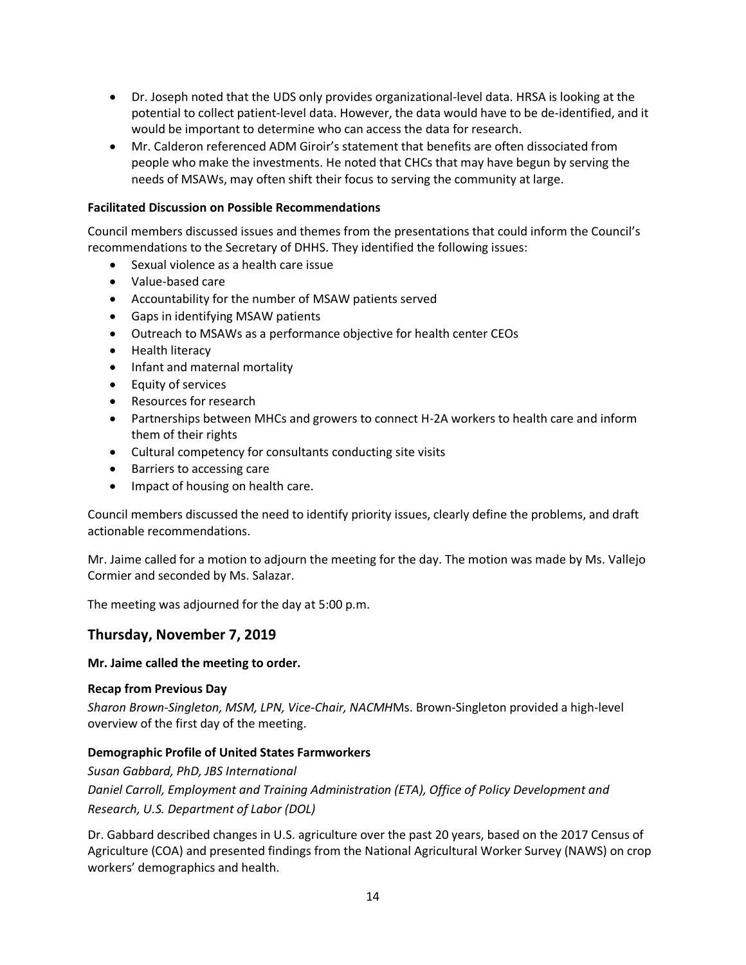- Dr. Joseph noted that the UDS only provides organizational-level data. HRSA is looking at the potential to collect patient-level data. However, the data would have to be de-identified, and it would be important to determine who can access the data for research.
- Mr. Calderon referenced ADM Giroir's statement that benefits are often dissociated from people who make the investments. He noted that CHCs that may have begun by serving the needs of MSAWs, may often shift their focus to serving the community at large.

## **Facilitated Discussion on Possible Recommendations**

Council members discussed issues and themes from the presentations that could inform the Council's recommendations to the Secretary of DHHS. They identified the following issues:

- Sexual violence as a health care issue
- Value-based care
- Accountability for the number of MSAW patients served
- Gaps in identifying MSAW patients
- Outreach to MSAWs as a performance objective for health center CEOs
- Health literacy
- Infant and maternal mortality
- Equity of services
- Resources for research
- Partnerships between MHCs and growers to connect H-2A workers to health care and inform them of their rights
- Cultural competency for consultants conducting site visits
- Barriers to accessing care
- Impact of housing on health care.

Council members discussed the need to identify priority issues, clearly define the problems, and draft actionable recommendations.

Mr. Jaime called for a motion to adjourn the meeting for the day. The motion was made by Ms. Vallejo Cormier and seconded by Ms. Salazar.

The meeting was adjourned for the day at 5:00 p.m.

# **Thursday, November 7, 2019**

#### **Mr. Jaime called the meeting to order.**

#### **Recap from Previous Day**

*Sharon Brown-Singleton, MSM, LPN, Vice-Chair, NACMH*Ms. Brown-Singleton provided a high-level overview of the first day of the meeting.

## **Demographic Profile of United States Farmworkers**

*Susan Gabbard, PhD, JBS International Daniel Carroll, Employment and Training Administration (ETA), Office of Policy Development and Research, U.S. Department of Labor (DOL)*

Dr. Gabbard described changes in U.S. agriculture over the past 20 years, based on the 2017 Census of Agriculture (COA) and presented findings from the National Agricultural Worker Survey (NAWS) on crop workers' demographics and health.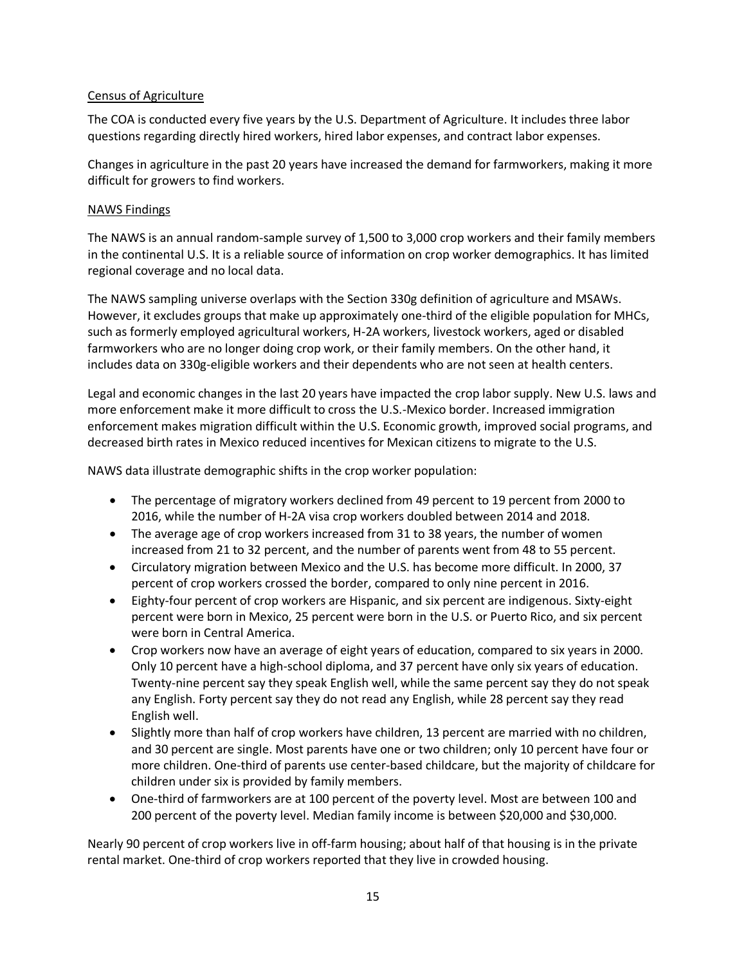## Census of Agriculture

The COA is conducted every five years by the U.S. Department of Agriculture. It includes three labor questions regarding directly hired workers, hired labor expenses, and contract labor expenses.

Changes in agriculture in the past 20 years have increased the demand for farmworkers, making it more difficult for growers to find workers.

#### NAWS Findings

The NAWS is an annual random-sample survey of 1,500 to 3,000 crop workers and their family members in the continental U.S. It is a reliable source of information on crop worker demographics. It has limited regional coverage and no local data.

The NAWS sampling universe overlaps with the Section 330g definition of agriculture and MSAWs. However, it excludes groups that make up approximately one-third of the eligible population for MHCs, such as formerly employed agricultural workers, H-2A workers, livestock workers, aged or disabled farmworkers who are no longer doing crop work, or their family members. On the other hand, it includes data on 330g-eligible workers and their dependents who are not seen at health centers.

Legal and economic changes in the last 20 years have impacted the crop labor supply. New U.S. laws and more enforcement make it more difficult to cross the U.S.-Mexico border. Increased immigration enforcement makes migration difficult within the U.S. Economic growth, improved social programs, and decreased birth rates in Mexico reduced incentives for Mexican citizens to migrate to the U.S.

NAWS data illustrate demographic shifts in the crop worker population:

- The percentage of migratory workers declined from 49 percent to 19 percent from 2000 to 2016, while the number of H-2A visa crop workers doubled between 2014 and 2018.
- The average age of crop workers increased from 31 to 38 years, the number of women increased from 21 to 32 percent, and the number of parents went from 48 to 55 percent.
- Circulatory migration between Mexico and the U.S. has become more difficult. In 2000, 37 percent of crop workers crossed the border, compared to only nine percent in 2016.
- Eighty-four percent of crop workers are Hispanic, and six percent are indigenous. Sixty-eight percent were born in Mexico, 25 percent were born in the U.S. or Puerto Rico, and six percent were born in Central America.
- Crop workers now have an average of eight years of education, compared to six years in 2000. Only 10 percent have a high-school diploma, and 37 percent have only six years of education. Twenty-nine percent say they speak English well, while the same percent say they do not speak any English. Forty percent say they do not read any English, while 28 percent say they read English well.
- Slightly more than half of crop workers have children, 13 percent are married with no children, and 30 percent are single. Most parents have one or two children; only 10 percent have four or more children. One-third of parents use center-based childcare, but the majority of childcare for children under six is provided by family members.
- One-third of farmworkers are at 100 percent of the poverty level. Most are between 100 and 200 percent of the poverty level. Median family income is between \$20,000 and \$30,000.

Nearly 90 percent of crop workers live in off-farm housing; about half of that housing is in the private rental market. One-third of crop workers reported that they live in crowded housing.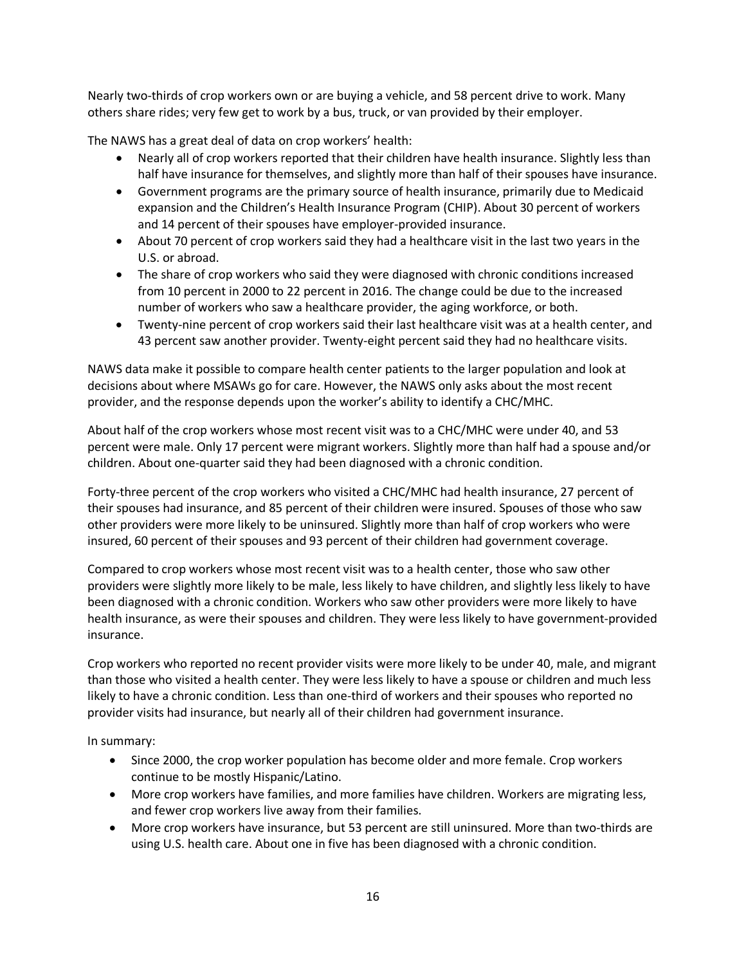Nearly two-thirds of crop workers own or are buying a vehicle, and 58 percent drive to work. Many others share rides; very few get to work by a bus, truck, or van provided by their employer.

The NAWS has a great deal of data on crop workers' health:

- Nearly all of crop workers reported that their children have health insurance. Slightly less than half have insurance for themselves, and slightly more than half of their spouses have insurance.
- Government programs are the primary source of health insurance, primarily due to Medicaid expansion and the Children's Health Insurance Program (CHIP). About 30 percent of workers and 14 percent of their spouses have employer-provided insurance.
- About 70 percent of crop workers said they had a healthcare visit in the last two years in the U.S. or abroad.
- The share of crop workers who said they were diagnosed with chronic conditions increased from 10 percent in 2000 to 22 percent in 2016. The change could be due to the increased number of workers who saw a healthcare provider, the aging workforce, or both.
- Twenty-nine percent of crop workers said their last healthcare visit was at a health center, and 43 percent saw another provider. Twenty-eight percent said they had no healthcare visits.

NAWS data make it possible to compare health center patients to the larger population and look at decisions about where MSAWs go for care. However, the NAWS only asks about the most recent provider, and the response depends upon the worker's ability to identify a CHC/MHC.

About half of the crop workers whose most recent visit was to a CHC/MHC were under 40, and 53 percent were male. Only 17 percent were migrant workers. Slightly more than half had a spouse and/or children. About one-quarter said they had been diagnosed with a chronic condition.

Forty-three percent of the crop workers who visited a CHC/MHC had health insurance, 27 percent of their spouses had insurance, and 85 percent of their children were insured. Spouses of those who saw other providers were more likely to be uninsured. Slightly more than half of crop workers who were insured, 60 percent of their spouses and 93 percent of their children had government coverage.

Compared to crop workers whose most recent visit was to a health center, those who saw other providers were slightly more likely to be male, less likely to have children, and slightly less likely to have been diagnosed with a chronic condition. Workers who saw other providers were more likely to have health insurance, as were their spouses and children. They were less likely to have government-provided insurance.

Crop workers who reported no recent provider visits were more likely to be under 40, male, and migrant than those who visited a health center. They were less likely to have a spouse or children and much less likely to have a chronic condition. Less than one-third of workers and their spouses who reported no provider visits had insurance, but nearly all of their children had government insurance.

In summary:

- Since 2000, the crop worker population has become older and more female. Crop workers continue to be mostly Hispanic/Latino.
- More crop workers have families, and more families have children. Workers are migrating less, and fewer crop workers live away from their families.
- More crop workers have insurance, but 53 percent are still uninsured. More than two-thirds are using U.S. health care. About one in five has been diagnosed with a chronic condition.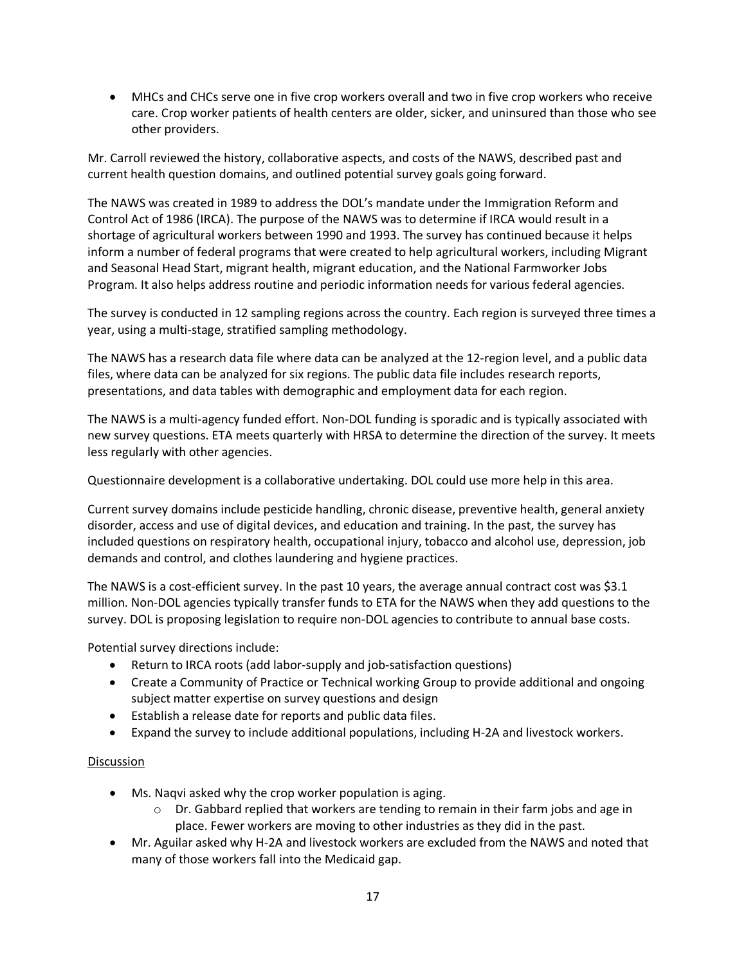• MHCs and CHCs serve one in five crop workers overall and two in five crop workers who receive care. Crop worker patients of health centers are older, sicker, and uninsured than those who see other providers.

Mr. Carroll reviewed the history, collaborative aspects, and costs of the NAWS, described past and current health question domains, and outlined potential survey goals going forward.

The NAWS was created in 1989 to address the DOL's mandate under the Immigration Reform and Control Act of 1986 (IRCA). The purpose of the NAWS was to determine if IRCA would result in a shortage of agricultural workers between 1990 and 1993. The survey has continued because it helps inform a number of federal programs that were created to help agricultural workers, including Migrant and Seasonal Head Start, migrant health, migrant education, and the National Farmworker Jobs Program. It also helps address routine and periodic information needs for various federal agencies.

The survey is conducted in 12 sampling regions across the country. Each region is surveyed three times a year, using a multi-stage, stratified sampling methodology.

The NAWS has a research data file where data can be analyzed at the 12-region level, and a public data files, where data can be analyzed for six regions. The public data file includes research reports, presentations, and data tables with demographic and employment data for each region.

The NAWS is a multi-agency funded effort. Non-DOL funding is sporadic and is typically associated with new survey questions. ETA meets quarterly with HRSA to determine the direction of the survey. It meets less regularly with other agencies.

Questionnaire development is a collaborative undertaking. DOL could use more help in this area.

Current survey domains include pesticide handling, chronic disease, preventive health, general anxiety disorder, access and use of digital devices, and education and training. In the past, the survey has included questions on respiratory health, occupational injury, tobacco and alcohol use, depression, job demands and control, and clothes laundering and hygiene practices.

The NAWS is a cost-efficient survey. In the past 10 years, the average annual contract cost was \$3.1 million. Non-DOL agencies typically transfer funds to ETA for the NAWS when they add questions to the survey. DOL is proposing legislation to require non-DOL agencies to contribute to annual base costs.

Potential survey directions include:

- Return to IRCA roots (add labor-supply and job-satisfaction questions)
- Create a Community of Practice or Technical working Group to provide additional and ongoing subject matter expertise on survey questions and design
- Establish a release date for reports and public data files.
- Expand the survey to include additional populations, including H-2A and livestock workers.

- Ms. Naqvi asked why the crop worker population is aging.
	- $\circ$  Dr. Gabbard replied that workers are tending to remain in their farm jobs and age in place. Fewer workers are moving to other industries as they did in the past.
- Mr. Aguilar asked why H-2A and livestock workers are excluded from the NAWS and noted that many of those workers fall into the Medicaid gap.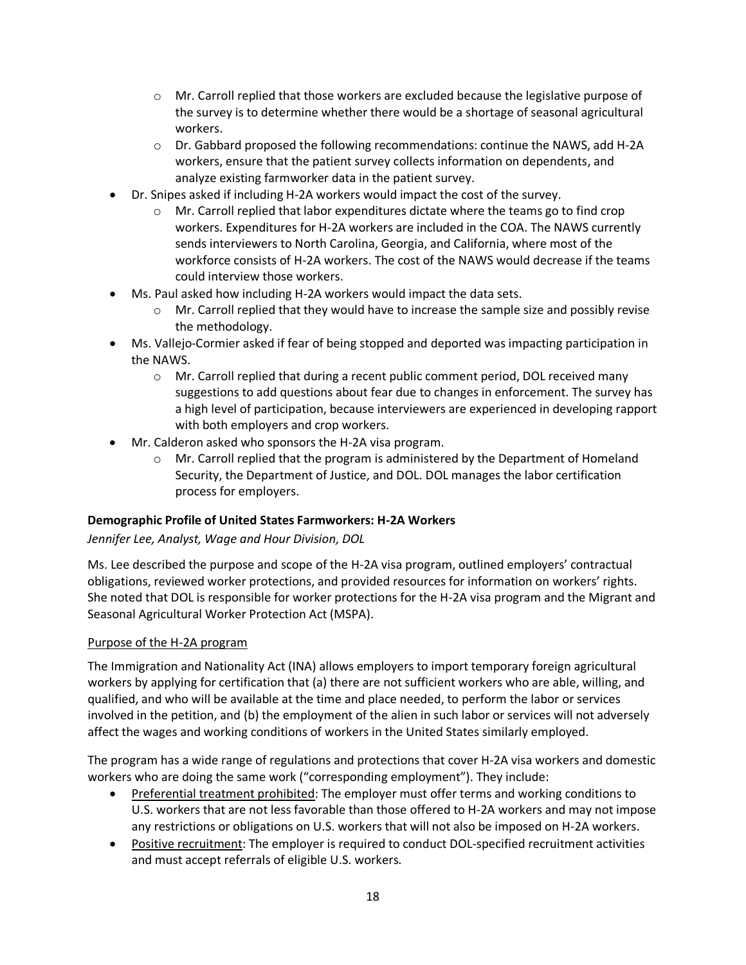- Mr. Carroll replied that those workers are excluded because the legislative purpose of the survey is to determine whether there would be a shortage of seasonal agricultural workers.
- $\circ$  Dr. Gabbard proposed the following recommendations: continue the NAWS, add H-2A workers, ensure that the patient survey collects information on dependents, and analyze existing farmworker data in the patient survey.
- Dr. Snipes asked if including H-2A workers would impact the cost of the survey.
	- $\circ$  Mr. Carroll replied that labor expenditures dictate where the teams go to find crop workers. Expenditures for H-2A workers are included in the COA. The NAWS currently sends interviewers to North Carolina, Georgia, and California, where most of the workforce consists of H-2A workers. The cost of the NAWS would decrease if the teams could interview those workers.
- Ms. Paul asked how including H-2A workers would impact the data sets.
	- Mr. Carroll replied that they would have to increase the sample size and possibly revise the methodology.
- Ms. Vallejo-Cormier asked if fear of being stopped and deported was impacting participation in the NAWS.
	- Mr. Carroll replied that during a recent public comment period, DOL received many suggestions to add questions about fear due to changes in enforcement. The survey has a high level of participation, because interviewers are experienced in developing rapport with both employers and crop workers.
- Mr. Calderon asked who sponsors the H-2A visa program.
	- $\circ$  Mr. Carroll replied that the program is administered by the Department of Homeland Security, the Department of Justice, and DOL. DOL manages the labor certification process for employers.

## **Demographic Profile of United States Farmworkers: H-2A Workers**

## *Jennifer Lee, Analyst, Wage and Hour Division, DOL*

Ms. Lee described the purpose and scope of the H-2A visa program, outlined employers' contractual obligations, reviewed worker protections, and provided resources for information on workers' rights. She noted that DOL is responsible for worker protections for the H-2A visa program and the Migrant and Seasonal Agricultural Worker Protection Act (MSPA).

## Purpose of the H-2A program

The Immigration and Nationality Act (INA) allows employers to import temporary foreign agricultural workers by applying for certification that (a) there are not sufficient workers who are able, willing, and qualified, and who will be available at the time and place needed, to perform the labor or services involved in the petition, and (b) the employment of the alien in such labor or services will not adversely affect the wages and working conditions of workers in the United States similarly employed.

The program has a wide range of regulations and protections that cover H-2A visa workers and domestic workers who are doing the same work ("corresponding employment"). They include:

- Preferential treatment prohibited: The employer must offer terms and working conditions to U.S. workers that are not less favorable than those offered to H-2A workers and may not impose any restrictions or obligations on U.S. workers that will not also be imposed on H-2A workers.
- Positive recruitment: The employer is required to conduct DOL-specified recruitment activities and must accept referrals of eligible U.S. workers.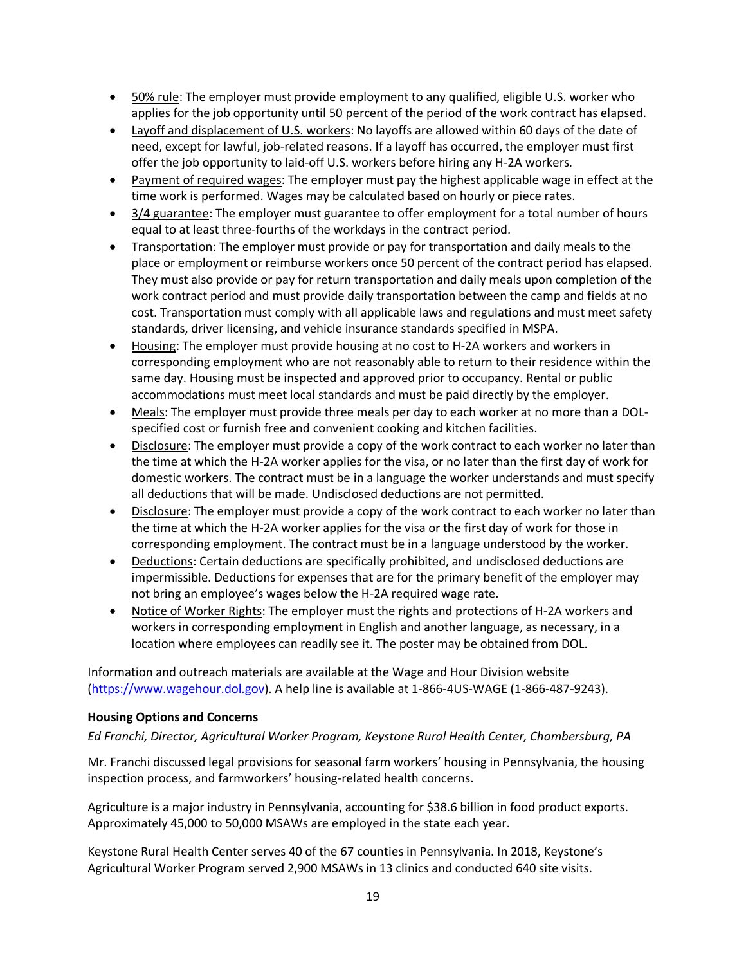- 50% rule: The employer must provide employment to any qualified, eligible U.S. worker who applies for the job opportunity until 50 percent of the period of the work contract has elapsed.
- Layoff and displacement of U.S. workers: No layoffs are allowed within 60 days of the date of need, except for lawful, job-related reasons. If a layoff has occurred, the employer must first offer the job opportunity to laid-off U.S. workers before hiring any H-2A workers.
- Payment of required wages: The employer must pay the highest applicable wage in effect at the time work is performed. Wages may be calculated based on hourly or piece rates.
- 3/4 guarantee: The employer must guarantee to offer employment for a total number of hours equal to at least three-fourths of the workdays in the contract period.
- Transportation: The employer must provide or pay for transportation and daily meals to the place or employment or reimburse workers once 50 percent of the contract period has elapsed. They must also provide or pay for return transportation and daily meals upon completion of the work contract period and must provide daily transportation between the camp and fields at no cost. Transportation must comply with all applicable laws and regulations and must meet safety standards, driver licensing, and vehicle insurance standards specified in MSPA.
- Housing: The employer must provide housing at no cost to H-2A workers and workers in corresponding employment who are not reasonably able to return to their residence within the same day. Housing must be inspected and approved prior to occupancy. Rental or public accommodations must meet local standards and must be paid directly by the employer.
- Meals: The employer must provide three meals per day to each worker at no more than a DOLspecified cost or furnish free and convenient cooking and kitchen facilities.
- Disclosure: The employer must provide a copy of the work contract to each worker no later than the time at which the H-2A worker applies for the visa, or no later than the first day of work for domestic workers. The contract must be in a language the worker understands and must specify all deductions that will be made. Undisclosed deductions are not permitted.
- Disclosure: The employer must provide a copy of the work contract to each worker no later than the time at which the H-2A worker applies for the visa or the first day of work for those in corresponding employment. The contract must be in a language understood by the worker.
- Deductions: Certain deductions are specifically prohibited, and undisclosed deductions are impermissible. Deductions for expenses that are for the primary benefit of the employer may not bring an employee's wages below the H-2A required wage rate.
- Notice of Worker Rights: The employer must the rights and protections of H-2A workers and workers in corresponding employment in English and another language, as necessary, in a location where employees can readily see it. The poster may be obtained from DOL.

Information and outreach materials are available at the Wage and Hour Division website [\(https://www.wagehour.dol.gov\)](https://www.wagehour.dol.gov/). A help line is available at 1-866-4US-WAGE (1-866-487-9243).

#### **Housing Options and Concerns**

*Ed Franchi, Director, Agricultural Worker Program, Keystone Rural Health Center, Chambersburg, PA*

Mr. Franchi discussed legal provisions for seasonal farm workers' housing in Pennsylvania, the housing inspection process, and farmworkers' housing-related health concerns.

Agriculture is a major industry in Pennsylvania, accounting for \$38.6 billion in food product exports. Approximately 45,000 to 50,000 MSAWs are employed in the state each year.

Keystone Rural Health Center serves 40 of the 67 counties in Pennsylvania. In 2018, Keystone's Agricultural Worker Program served 2,900 MSAWs in 13 clinics and conducted 640 site visits.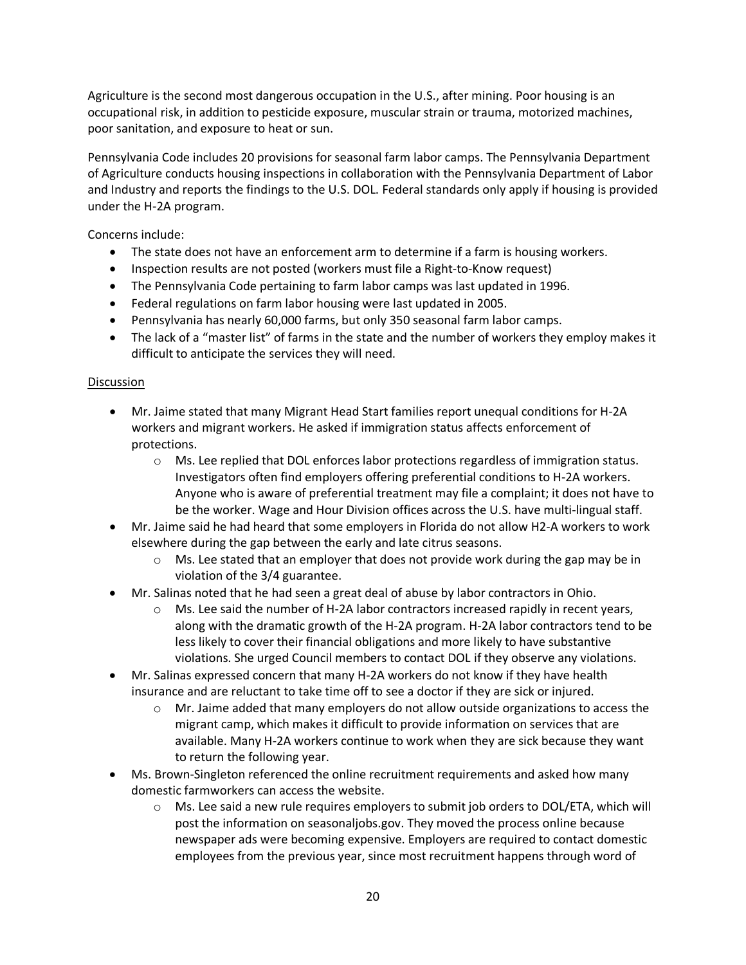Agriculture is the second most dangerous occupation in the U.S., after mining. Poor housing is an occupational risk, in addition to pesticide exposure, muscular strain or trauma, motorized machines, poor sanitation, and exposure to heat or sun.

Pennsylvania Code includes 20 provisions for seasonal farm labor camps. The Pennsylvania Department of Agriculture conducts housing inspections in collaboration with the Pennsylvania Department of Labor and Industry and reports the findings to the U.S. DOL. Federal standards only apply if housing is provided under the H-2A program.

Concerns include:

- The state does not have an enforcement arm to determine if a farm is housing workers.
- Inspection results are not posted (workers must file a Right-to-Know request)
- The Pennsylvania Code pertaining to farm labor camps was last updated in 1996.
- Federal regulations on farm labor housing were last updated in 2005.
- Pennsylvania has nearly 60,000 farms, but only 350 seasonal farm labor camps.
- The lack of a "master list" of farms in the state and the number of workers they employ makes it difficult to anticipate the services they will need.

- Mr. Jaime stated that many Migrant Head Start families report unequal conditions for H-2A workers and migrant workers. He asked if immigration status affects enforcement of protections.
	- Ms. Lee replied that DOL enforces labor protections regardless of immigration status. Investigators often find employers offering preferential conditions to H-2A workers. Anyone who is aware of preferential treatment may file a complaint; it does not have to be the worker. Wage and Hour Division offices across the U.S. have multi-lingual staff.
- Mr. Jaime said he had heard that some employers in Florida do not allow H2-A workers to work elsewhere during the gap between the early and late citrus seasons.
	- $\circ$  Ms. Lee stated that an employer that does not provide work during the gap may be in violation of the 3/4 guarantee.
- Mr. Salinas noted that he had seen a great deal of abuse by labor contractors in Ohio.
	- Ms. Lee said the number of H-2A labor contractors increased rapidly in recent years, along with the dramatic growth of the H-2A program. H-2A labor contractors tend to be less likely to cover their financial obligations and more likely to have substantive violations. She urged Council members to contact DOL if they observe any violations.
- Mr. Salinas expressed concern that many H-2A workers do not know if they have health insurance and are reluctant to take time off to see a doctor if they are sick or injured.
	- Mr. Jaime added that many employers do not allow outside organizations to access the migrant camp, which makes it difficult to provide information on services that are available. Many H-2A workers continue to work when they are sick because they want to return the following year.
- Ms. Brown-Singleton referenced the online recruitment requirements and asked how many domestic farmworkers can access the website.
	- Ms. Lee said a new rule requires employers to submit job orders to DOL/ETA, which will post the information on seasonaljobs.gov. They moved the process online because newspaper ads were becoming expensive. Employers are required to contact domestic employees from the previous year, since most recruitment happens through word of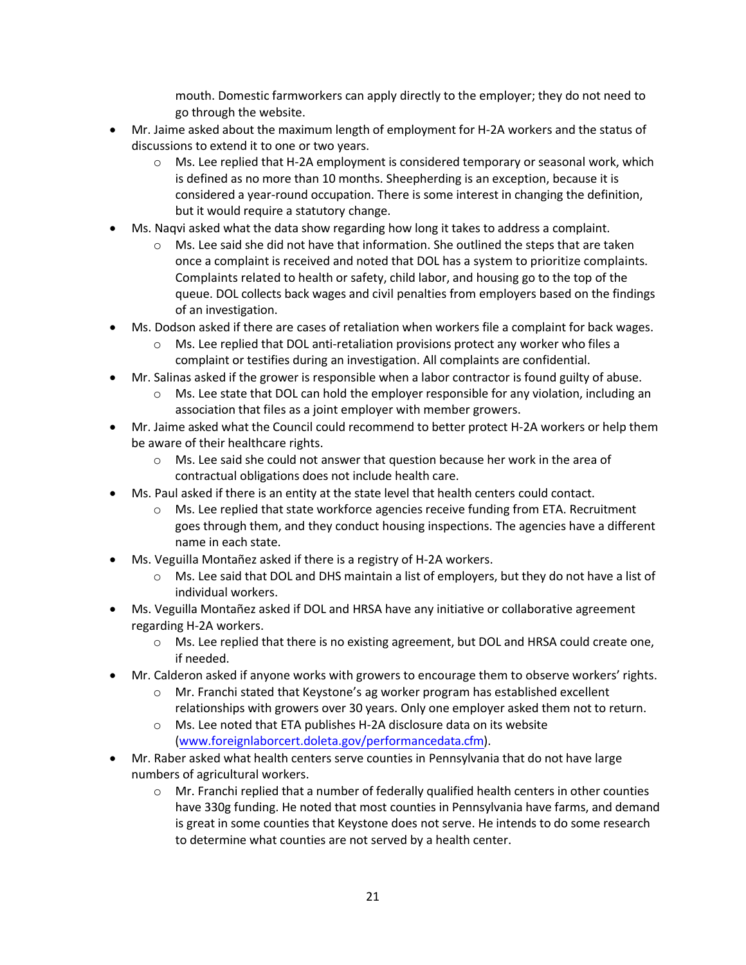mouth. Domestic farmworkers can apply directly to the employer; they do not need to go through the website.

- Mr. Jaime asked about the maximum length of employment for H-2A workers and the status of discussions to extend it to one or two years.
	- $\circ$  Ms. Lee replied that H-2A employment is considered temporary or seasonal work, which is defined as no more than 10 months. Sheepherding is an exception, because it is considered a year-round occupation. There is some interest in changing the definition, but it would require a statutory change.
- Ms. Naqvi asked what the data show regarding how long it takes to address a complaint.
	- $\circ$  Ms. Lee said she did not have that information. She outlined the steps that are taken once a complaint is received and noted that DOL has a system to prioritize complaints. Complaints related to health or safety, child labor, and housing go to the top of the queue. DOL collects back wages and civil penalties from employers based on the findings of an investigation.
- Ms. Dodson asked if there are cases of retaliation when workers file a complaint for back wages.
	- Ms. Lee replied that DOL anti-retaliation provisions protect any worker who files a complaint or testifies during an investigation. All complaints are confidential.
- Mr. Salinas asked if the grower is responsible when a labor contractor is found guilty of abuse.
	- Ms. Lee state that DOL can hold the employer responsible for any violation, including an association that files as a joint employer with member growers.
- Mr. Jaime asked what the Council could recommend to better protect H-2A workers or help them be aware of their healthcare rights.
	- Ms. Lee said she could not answer that question because her work in the area of contractual obligations does not include health care.
- Ms. Paul asked if there is an entity at the state level that health centers could contact.
	- Ms. Lee replied that state workforce agencies receive funding from ETA. Recruitment goes through them, and they conduct housing inspections. The agencies have a different name in each state.
- Ms. Veguilla Montañez asked if there is a registry of H-2A workers.
	- Ms. Lee said that DOL and DHS maintain a list of employers, but they do not have a list of individual workers.
- Ms. Veguilla Montañez asked if DOL and HRSA have any initiative or collaborative agreement regarding H-2A workers.
	- Ms. Lee replied that there is no existing agreement, but DOL and HRSA could create one, if needed.
- Mr. Calderon asked if anyone works with growers to encourage them to observe workers' rights.
	- Mr. Franchi stated that Keystone's ag worker program has established excellent relationships with growers over 30 years. Only one employer asked them not to return.
	- Ms. Lee noted that ETA publishes H-2A disclosure data on its website [\(www.foreignlaborcert.doleta.gov/performancedata.cfm\)](http://www.foreignlaborcert.doleta.gov/performancedata.cfm).
- Mr. Raber asked what health centers serve counties in Pennsylvania that do not have large numbers of agricultural workers.
	- Mr. Franchi replied that a number of federally qualified health centers in other counties have 330g funding. He noted that most counties in Pennsylvania have farms, and demand is great in some counties that Keystone does not serve. He intends to do some research to determine what counties are not served by a health center.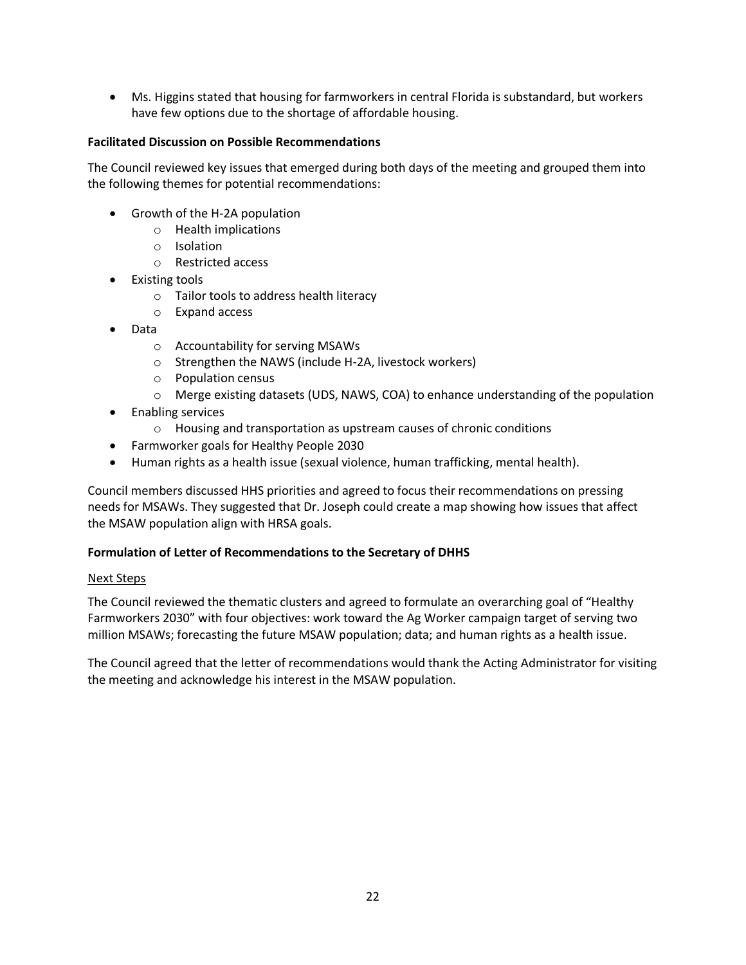• Ms. Higgins stated that housing for farmworkers in central Florida is substandard, but workers have few options due to the shortage of affordable housing.

#### **Facilitated Discussion on Possible Recommendations**

The Council reviewed key issues that emerged during both days of the meeting and grouped them into the following themes for potential recommendations:

- Growth of the H-2A population
	- Health implications
	- Isolation
	- Restricted access
- Existing tools
	- Tailor tools to address health literacy
	- Expand access
- Data
	- Accountability for serving MSAWs
	- Strengthen the NAWS (include H-2A, livestock workers)
	- Population census
	- Merge existing datasets (UDS, NAWS, COA) to enhance understanding of the population
- Enabling services
	- Housing and transportation as upstream causes of chronic conditions
- Farmworker goals for Healthy People 2030
- Human rights as a health issue (sexual violence, human trafficking, mental health).

Council members discussed HHS priorities and agreed to focus their recommendations on pressing needs for MSAWs. They suggested that Dr. Joseph could create a map showing how issues that affect the MSAW population align with HRSA goals.

#### **Formulation of Letter of Recommendations to the Secretary of DHHS**

#### Next Steps

The Council reviewed the thematic clusters and agreed to formulate an overarching goal of "Healthy Farmworkers 2030" with four objectives: work toward the Ag Worker campaign target of serving two million MSAWs; forecasting the future MSAW population; data; and human rights as a health issue.

The Council agreed that the letter of recommendations would thank the Acting Administrator for visiting the meeting and acknowledge his interest in the MSAW population.